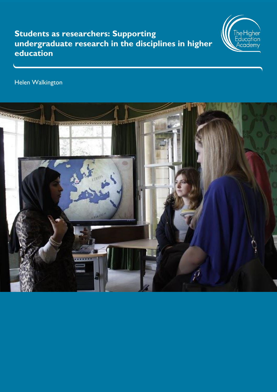



Helen Walkington

itle

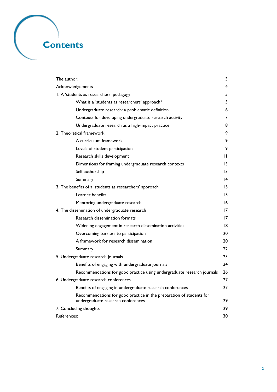# **Contents<sup>1</sup>**

l

| The author:                                                                                                | 3               |
|------------------------------------------------------------------------------------------------------------|-----------------|
| Acknowledgements                                                                                           | 4               |
| I. A 'students as researchers' pedagogy                                                                    | 5               |
| What is a 'students as researchers' approach?                                                              | 5               |
| Undergraduate research: a problematic definition                                                           | 6               |
| Contexts for developing undergraduate research activity                                                    | 7               |
| Undergraduate research as a high-impact practice                                                           | 8               |
| 2. Theoretical framework                                                                                   | 9               |
| A curriculum framework                                                                                     | 9               |
| Levels of student participation                                                                            | 9               |
| Research skills development                                                                                | П               |
| Dimensions for framing undergraduate research contexts                                                     | 13              |
| Self-authorship                                                                                            | 13              |
| Summary                                                                                                    | $\overline{14}$ |
| 3. The benefits of a 'students as researchers' approach                                                    | 15              |
| Learner benefits                                                                                           | 15              |
| Mentoring undergraduate research                                                                           | 16              |
| 4. The dissemination of undergraduate research                                                             | 17              |
| Research dissemination formats                                                                             | 17              |
| Widening engagement in research dissemination activities                                                   | 18              |
| Overcoming barriers to participation                                                                       | 20              |
| A framework for research dissemination                                                                     | 20              |
| Summary                                                                                                    | 22              |
| 5. Undergraduate research journals                                                                         | 23              |
| Benefits of engaging with undergraduate journals                                                           | 24              |
| Recommendations for good practice using undergraduate research journals                                    | 26              |
| 6. Undergraduate research conferences                                                                      | 27              |
| Benefits of engaging in undergraduate research conferences                                                 | 27              |
| Recommendations for good practice in the preparation of students for<br>undergraduate research conferences | 29              |
| 7. Concluding thoughts                                                                                     | 29              |
| References:                                                                                                | 30              |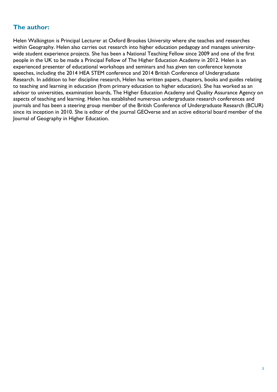# <span id="page-2-0"></span>**The author:**

Helen Walkington is Principal Lecturer at Oxford Brookes University where she teaches and researches within Geography. Helen also carries out research into higher education pedagogy and manages universitywide student experience projects. She has been a National Teaching Fellow since 2009 and one of the first people in the UK to be made a Principal Fellow of The Higher Education Academy in 2012. Helen is an experienced presenter of educational workshops and seminars and has given ten conference keynote speeches, including the 2014 HEA STEM conference and 2014 British Conference of Undergraduate Research. In addition to her discipline research, Helen has written papers, chapters, books and guides relating to teaching and learning in education (from primary education to higher education). She has worked as an advisor to universities, examination boards, The Higher Education Academy and Quality Assurance Agency on aspects of teaching and learning. Helen has established numerous undergraduate research conferences and journals and has been a steering group member of the British Conference of Undergraduate Research (BCUR) since its inception in 2010. She is editor of the journal GEOverse and an active editorial board member of the Journal of Geography in Higher Education.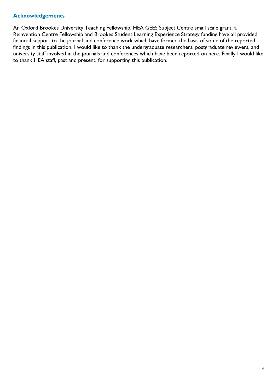#### <span id="page-3-0"></span>**Acknowledgements**

An Oxford Brookes University Teaching Fellowship, HEA GEES Subject Centre small scale grant, a Reinvention Centre Fellowship and Brookes Student Learning Experience Strategy funding have all provided financial support to the journal and conference work which have formed the basis of some of the reported findings in this publication. I would like to thank the undergraduate researchers, postgraduate reviewers, and university staff involved in the journals and conferences which have been reported on here. Finally I would like to thank HEA staff, past and present, for supporting this publication.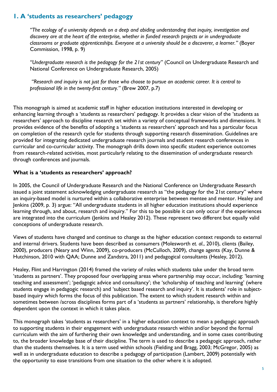# <span id="page-4-0"></span>**1. A 'students as researchers' pedagogy**

*"The ecology of a university depends on a deep and abiding understanding that inquiry, investigation and discovery are at the heart of the enterprise, whether in funded research projects or in undergraduate classrooms or graduate apprenticeships. Everyone at a university should be a discoverer, a learner."* (Boyer Commission, 1998, p. 9)

*"Undergraduate research is the pedagogy for the 21st century"* (Council on Undergraduate Research and National Conference on Undergraduate Research, 2005)

*"Research and inquiry is not just for those who choose to pursue an academic career. It is central to professional life in the twenty-first century."* (Brew 2007, p.7)

This monograph is aimed at academic staff in higher education institutions interested in developing or enhancing learning through a 'students as researchers' pedagogy. It provides a clear vision of the 'students as researchers' approach to discipline research set within a variety of conceptual frameworks and dimensions. It provides evidence of the benefits of adopting a 'students as researchers' approach and has a particular focus on completion of the research cycle for students through supporting research dissemination. Guidelines are provided for integrating dedicated undergraduate research journals and student research conferences in curricular and co-curricular activity. The monograph drills down into specific student experience outcomes from research-related activities, most particularly relating to the dissemination of undergraduate research through conferences and journals.

#### <span id="page-4-1"></span>**What is a 'students as researchers' approach?**

In 2005, the Council of Undergraduate Research and the National Conference on Undergraduate Research issued a joint statement acknowledging undergraduate research as "the pedagogy for the 21st century" where an inquiry-based model is nurtured within a collaborative enterprise between mentee and mentor. Healey and Jenkins (2009, p. 3) argue: "All undergraduate students in all higher education institutions should experience learning through, and about, research and inquiry." For this to be possible it can only occur if the experiences are integrated into the curriculum (Jenkins and Healey 2012). These represent two different but equally valid conceptions of undergraduate research.

Views of students have changed and continue to change as the higher education context responds to external and internal drivers. Students have been described as consumers (Molesworth *et. al.*, 2010), clients (Bailey, 2000), producers (Neary and Winn, 2009), co-producers (McCulloch, 2009), change agents (Kay, Dunne & Hutchinson, 2010 with QAA; Dunne and Zandstra, 2011) and pedagogical consultants (Healey, 2012).

Healey, Flint and Harrington (2014) framed the variety of roles which students take under the broad term 'students as partners'. They proposed four overlapping areas where partnership may occur, including: 'learning teaching and assessment'; 'pedagogic advice and consultancy'; the 'scholarship of teaching and learning' (where students engage in pedagogic research) and 'subject based research and inquiry'. It is students' role in subjectbased inquiry which forms the focus of this publication. The extent to which student research within and sometimes between /across disciplines forms part of a 'students as partners' relationship, is therefore highly dependent upon the context in which it takes place.

This monograph takes 'students as researchers' in a higher education context to mean a pedagogic approach to supporting students in their engagement with undergraduate research within and/or beyond the formal curriculum with the aim of furthering their own knowledge and understanding, and in some cases contributing to, the broader knowledge base of their discipline. The term is used to describe a pedagogic approach, rather than the students themselves. It is a term used within schools (Fielding and Bragg, 2003; McGregor, 2005) as well as in undergraduate education to describe a pedagogy of participation (Lambert, 2009) potentially with the opportunity to ease transitions from one situation to the other where it is adopted.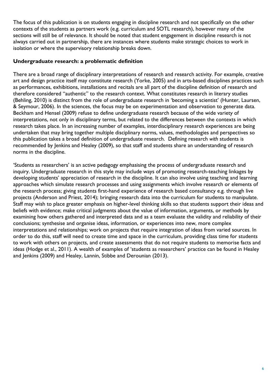The focus of this publication is on students engaging in discipline research and not specifically on the other contexts of the students as partners work (e.g. curriculum and SOTL research), however many of the sections will still be of relevance. It should be noted that student engagement in discipline research is not always carried out in partnership, there are instances where students make strategic choices to work in isolation or where the supervisory relationship breaks down.

#### <span id="page-5-0"></span>**Undergraduate research: a problematic definition**

There are a broad range of disciplinary interpretations of research and research activity. For example, creative art and design practice itself may constitute research (Yorke, 2005) and in arts-based disciplines practices such as performances, exhibitions, installations and recitals are all part of the discipline definition of research and therefore considered "authentic" to the research context. What constitutes research in literary studies (Behling, 2010) is distinct from the role of undergraduate research in 'becoming a scientist' (Hunter, Laursen, & Seymour, 2006). In the sciences, the focus may be on experimentation and observation to generate data. Beckham and Hensel (2009) refuse to define undergraduate research because of the wide variety of interpretations, not only in disciplinary terms, but related to the differences between the contexts in which research takes place. In an increasing number of examples, interdisciplinary research experiences are being undertaken that may bring together multiple disciplinary norms, values, methodologies and perspectives so this publication takes a broad definition of undergraduate research. Defining research *with* students is recommended by Jenkins and Healey (2009), so that staff and students share an understanding of research norms in the discipline.

'Students as researchers' is an active pedagogy emphasising the process of undergraduate research and inquiry. Undergraduate research in this style may include ways of promoting research-teaching linkages by developing students' appreciation of research in the discipline. It can also involve using teaching and learning approaches which simulate research processes and using assignments which involve research or elements of the research process; giving students first-hand experience of research based consultancy e.g. through live projects (Anderson and Priest, 2014); bringing research data into the curriculum for students to manipulate. Staff may wish to place greater emphasis on higher-level thinking skills so that students support their ideas and beliefs with evidence; make critical judgments about the value of information, arguments, or methods by examining how others gathered and interpreted data and as a team evaluate the validity and reliability of their conclusions; synthesise and organise ideas, information, or experiences into new, more complex interpretations and relationships; work on projects that require integration of ideas from varied sources. In order to do this, staff will need to create time and space in the curriculum, providing class time for students to work with others on projects, and create assessments that do not require students to memorise facts and ideas (Hodge et al., 2011). A wealth of examples of 'students as researchers' practice can be found in Healey and Jenkins (2009) and Healey, Lannin, Stibbe and Derounian (2013).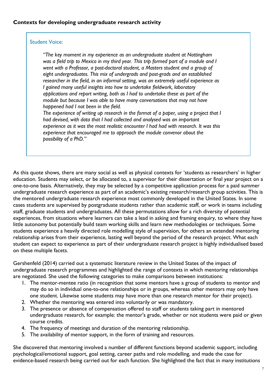#### <span id="page-6-0"></span>Student Voice:

*"The key moment in my experience as an undergraduate student at Nottingham was a field trip to Mexico in my third year. This trip formed part of a module and I went with a Professor, a post-doctoral student, a Masters student and a group of eight undergraduates. This mix of undergrads and post-grads and an established researcher in the field, in an informal setting, was an extremely useful experience as I gained many useful insights into how to undertake fieldwork, laboratory applications and report writing, both as I had to undertake these as part of the module but because I was able to have many conversations that may not have happened had I not been in the field.*

*The experience of writing up research in the format of a paper, using a project that I had devised, with data that I had collected and analysed was an important experience as it was the most realistic encounter I had had with research. It was this experience that encouraged me to approach the module convenor about the possibility of a PhD."*

As this quote shows, there are many social as well as physical contexts for 'students as researchers' in higher education. Students may select, or be allocated to, a supervisor for their dissertation or final year project on a one-to-one basis. Alternatively, they may be selected by a competitive application process for a paid summer undergraduate research experience as part of an academic's existing research/research group activities. This is the mentored undergraduate research experience most commonly developed in the United States. In some cases students are supervised by postgraduate students rather than academic staff, or work in teams including staff, graduate students and undergraduates. All these permutations allow for a rich diversity of potential experiences, from situations where learners can take a lead in asking and framing enquiry, to where they have little autonomy but potentially build team working skills and learn new methodologies or techniques. Some students experience a heavily directed role modelling style of supervision, for others an extended mentoring relationship arises from their experience, lasting well beyond the period of the research project. What each student can expect to experience as part of their undergraduate research project is highly individualised based on these multiple facets.

Gershenfeld (2014) carried out a systematic literature review in the United States of the impact of undergraduate research programmes and highlighted the range of contexts in which mentoring relationships are negotiated. She used the following categories to make comparisons between institutions:

- 1. The mentor-mentee ratio (in recognition that some mentors have a group of students to mentor and may do so in individual one-to-one relationships or in groups, whereas other mentors may only have one student. Likewise some students may have more than one research mentor for their project).
- 2. Whether the mentoring was entered into voluntarily or was mandatory.
- 3. The presence or absence of compensation offered to staff or students taking part in mentored undergraduate research, for example: the mentor's grade, whether or not students were paid or given course credits.
- 4. The frequency of meetings and duration of the mentoring relationship.
- 5. The availability of mentor support, in the form of training and resources.

She discovered that mentoring involved a number of different functions beyond academic support, including psychological/emotional support, goal setting, career paths and role modelling, and made the case for evidence-based research being carried out for each function. She highlighted the fact that in many institutions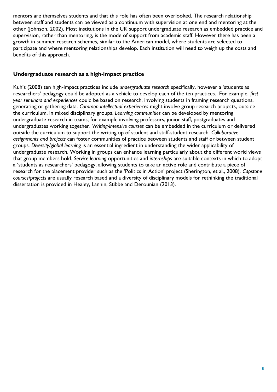mentors are themselves students and that this role has often been overlooked. The research relationship between staff and students can be viewed as a continuum with supervision at one end and mentoring at the other (Johnson, 2002). Most institutions in the UK support undergraduate research as embedded practice and supervision, rather than mentoring, is the mode of support from academic staff. However there has been a growth in summer research schemes, similar to the American model, where students are selected to participate and where mentoring relationships develop. Each institution will need to weigh up the costs and benefits of this approach.

#### <span id="page-7-0"></span>**Undergraduate research as a high-impact practice**

<span id="page-7-1"></span>Kuh's (2008) ten high-impact practices include *undergraduate research* specifically, however a 'students as researchers' pedagogy could be adopted as a vehicle to develop each of the ten practices. For example, *first year seminars and experiences* could be based on research, involving students in framing research questions, generating or gathering data. *Common intellectual experiences* might involve group research projects, outside the curriculum, in mixed disciplinary groups. *Learning communities* can be developed by mentoring undergraduate research in teams, for example involving professors, junior staff, postgraduates and undergraduates working together. *Writing-intensive courses* can be embedded in the curriculum or delivered outside the curriculum to support the writing up of student and staff-student research. *Collaborative assignments and projects* can foster communities of practice between students and staff or between student groups. *Diversity/global learning* is an essential ingredient in understanding the wider applicability of undergraduate research. Working in groups can enhance learning particularly about the different world views that group members hold. *Service learning* opportunities and *internships* are suitable contexts in which to adopt a 'students as researchers' pedagogy, allowing students to take an active role and contribute a piece of research for the placement provider such as the 'Politics in Action' project (Sherington, et al., 2008). *Capstone courses/projects* are usually research based and a diversity of disciplinary models for rethinking the traditional dissertation is provided in Healey, Lannin, Stibbe and Derounian (2013).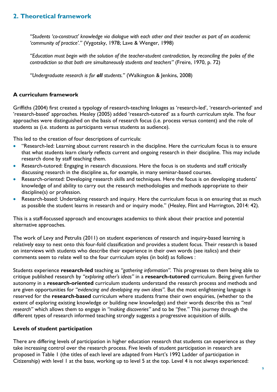# **2. Theoretical framework**

*"Students 'co-construct' knowledge via dialogue with each other and their teacher as part of an academic 'community of practice'."* (Vygotsky, 1978; Lave & Wenger, 1998)

*"Education must begin with the solution of the teacher-student contradiction, by reconciling the poles of the contradiction so that both are simultaneously students and teachers"* (Freire, 1970, p. 72)

*"Undergraduate research is for all students."* (Walkington & Jenkins, 2008)

#### <span id="page-8-0"></span>**A curriculum framework**

Griffiths (2004) first created a typology of research-teaching linkages as 'research-led', 'research-oriented' and 'research-based' approaches. Healey (2005) added 'research-tutored' as a fourth curriculum style. The four approaches were distinguished on the basis of research focus (i.e. process versus content) and the role of students as (i.e. students as participants versus students as audience).

This led to the creation of four descriptions of curricula:

- "Research-led: Learning about current research in the discipline. Here the curriculum focus is to ensure that what students learn clearly reflects current and ongoing research in their discipline. This may include research done by staff teaching them.
- Research-tutored: Engaging in research discussions. Here the focus is on students and staff critically discussing research in the discipline as, for example, in many seminar-based courses.
- Research-oriented: Developing research skills and techniques. Here the focus is on developing students' knowledge of and ability to carry out the research methodologies and methods appropriate to their discipline(s) or profession.
- Research-based: Undertaking research and inquiry. Here the curriculum focus is on ensuring that as much as possible the student learns in research and or inquiry mode." (Healey, Flint and Harrington, 2014: 42).

This is a staff-focussed approach and encourages academics to think about their practice and potential alternative approaches.

The work of Levy and Petrulis (2011) on student experiences of research and inquiry-based learning is relatively easy to nest onto this four-fold classification and provides a student focus. Their research is based on interviews with students who describe their experience in their own words (see italics) and their comments seem to relate well to the four curriculum styles (in bold) as follows :

Students experience **research-led** teaching as *"gathering information".* This progresses to them being able to critique published research by *"exploring other's ideas"* in a **research-tutored** curriculum. Being given further autonomy in a **research-oriented** curriculum students understand the research process and methods and are given opportunities for *"evidencing and developing my own ideas".* But the most enlightening language is reserved for the **research-based** curriculum where students frame their own enquiries, (whether to the extent of exploring existing knowledge or building new knowledge) and their words describe this as *"real research"* which allows them to engage in *"making discoveries"* and to be *"free."* This journey through the different types of research informed teaching strongly suggests a progressive acquisition of skills.

#### <span id="page-8-1"></span>**Levels of student participation**

There are differing levels of participation in higher education research that students can experience as they take increasing control over the research process. Five levels of student participation in research are proposed in Table 1 (the titles of each level are adapted from Hart's 1992 Ladder of participation in Citizenship) with level 1 at the base, working up to level 5 at the top. Level 4 is not always experienced: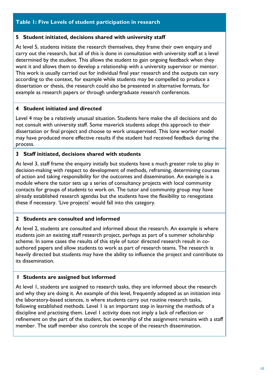#### **Table 1: Five Levels of student participation in research**

#### **5 Student initiated, decisions shared with university staff**

At level 5, students initiate the research themselves, they frame their own enquiry and carry out the research, but all of this is done in consultation with university staff at a level determined by the student. This allows the student to gain ongoing feedback when they want it and allows them to develop a relationship with a university supervisor or mentor. This work is usually carried out for individual final year research and the outputs can vary according to the context, for example while students may be compelled to produce a dissertation or thesis, the research could also be presented in alternative formats, for example as research papers or through undergraduate research conferences.

#### **4 Student initiated and directed**

Level 4 may be a relatively unusual situation. Students here make the all decisions and do not consult with university staff. Some maverick students adopt this approach to their dissertation or final project and choose to work unsupervised. This lone worker model may have produced more effective results if the student had received feedback during the process.

#### **3 Staff initiated, decisions shared with students**

At level 3, staff frame the enquiry initially but students have a much greater role to play in decision-making with respect to development of methods, reframing, determining courses of action and taking responsibility for the outcomes and dissemination. An example is a module where the tutor sets up a series of consultancy projects with local community contacts for groups of students to work on. The tutor and community group may have already established research agendas but the students have the flexibility to renegotiate these if necessary. 'Live projects' would fall into this category.

#### **2 Students are consulted and informed**

At level 2, students are consulted and informed about the research. An example is where students join an existing staff research project, perhaps as part of a summer scholarship scheme. In some cases the results of this style of tutor directed research result in coauthored papers and allow students to work as part of research teams. The research is heavily directed but students may have the ability to influence the project and contribute to its dissemination.

#### **1 Students are assigned but informed**

At level 1, students are assigned to research tasks, they are informed about the research and why they are doing it. An example of this level, frequently adopted as an initiation into the laboratory-based sciences, is where students carry out routine research tasks, following established methods. Level 1 is an important step in learning the methods of a discipline and practising them. Level 1 activity does not imply a lack of reflection or refinement on the part of the student, but ownership of the assignment remains with a staff member. The staff member also controls the scope of the research dissemination.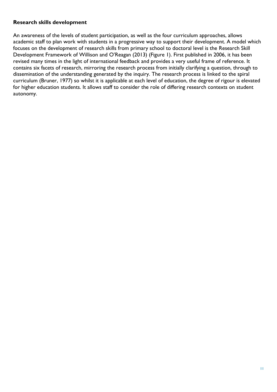#### <span id="page-10-0"></span>**Research skills development**

An awareness of the levels of student participation, as well as the four curriculum approaches, allows academic staff to plan work with students in a progressive way to support their development. A model which focuses on the development of research skills from primary school to doctoral level is the Research Skill Development Framework of Willison and O'Reagan (2013) (Figure 1). First published in 2006, it has been revised many times in the light of international feedback and provides a very useful frame of reference. It contains six facets of research, mirroring the research process from initially clarifying a question, through to dissemination of the understanding generated by the inquiry. The research process is linked to the spiral curriculum (Bruner, 1977) so whilst it is applicable at each level of education, the degree of rigour is elevated for higher education students. It allows staff to consider the role of differing research contexts on student autonomy.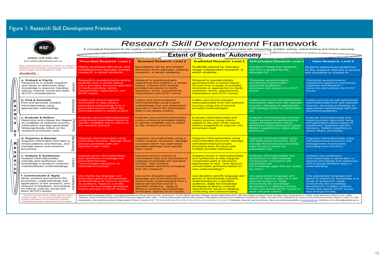# Figure 1: Research Skill Development Framework

|                                                 | RST                                                                                                                                                                                                                                      | <b>Research Skill Development Framework</b><br>A conceptual framework for the explicit, coherent, incremental and cyclic development of the skills associated with researching, problem solving, critical thinking and clinical reasoning. |                                                                                                                                                                                                                                             |                                                                                                                                                                                                                                                                                                                                                                                                                                                                                                                                                                                                                                                                                                    |                                                                                                                                                                                                                                |                                                                                                                                                                                                                           |  |  |
|-------------------------------------------------|------------------------------------------------------------------------------------------------------------------------------------------------------------------------------------------------------------------------------------------|--------------------------------------------------------------------------------------------------------------------------------------------------------------------------------------------------------------------------------------------|---------------------------------------------------------------------------------------------------------------------------------------------------------------------------------------------------------------------------------------------|----------------------------------------------------------------------------------------------------------------------------------------------------------------------------------------------------------------------------------------------------------------------------------------------------------------------------------------------------------------------------------------------------------------------------------------------------------------------------------------------------------------------------------------------------------------------------------------------------------------------------------------------------------------------------------------------------|--------------------------------------------------------------------------------------------------------------------------------------------------------------------------------------------------------------------------------|---------------------------------------------------------------------------------------------------------------------------------------------------------------------------------------------------------------------------|--|--|
| www.rsd.edu.au<br>john.willison@adelaide.edu.au |                                                                                                                                                                                                                                          | <b>Extent of Students' Autonomy</b>                                                                                                                                                                                                        |                                                                                                                                                                                                                                             |                                                                                                                                                                                                                                                                                                                                                                                                                                                                                                                                                                                                                                                                                                    |                                                                                                                                                                                                                                |                                                                                                                                                                                                                           |  |  |
|                                                 |                                                                                                                                                                                                                                          | <b>Prescribed Research- Level 1</b>                                                                                                                                                                                                        | <b>Bounded Research- Level 2</b>                                                                                                                                                                                                            | <b>Scaffolded Research- Level 3</b>                                                                                                                                                                                                                                                                                                                                                                                                                                                                                                                                                                                                                                                                | <b>Self-actuated Research-Level 4</b>                                                                                                                                                                                          | <b>Open Research-Level 5</b>                                                                                                                                                                                              |  |  |
|                                                 | What characterises the move from 'search' to 'research''<br>Gathering more information and generating more data is<br>merely a bigger search! Research is when<br>students                                                               | Highly structured directions and<br>modelling from educator prompt<br>research, in which students                                                                                                                                          | Boundaries set by and limited<br>directions from educator channel<br>research, in which students                                                                                                                                            | Scaffolds placed by educator<br>shape independent research, in<br>which students…_                                                                                                                                                                                                                                                                                                                                                                                                                                                                                                                                                                                                                 | Students initiate the research<br>and this is quided by the<br>educator to                                                                                                                                                     | <b>Students determined quidelines</b><br>for the research that are in accord<br>with discipline or context to                                                                                                             |  |  |
|                                                 | a. Embark & Clarify<br>Respond to or initiate research<br>$\bigcirc$<br>imr.<br>and clarify or determine what<br>knowledge is required, heeding<br>ethical, cultural, social and team $\overline{a}$<br>(ECST) considerations.           | Respond to questions/tasks arising<br>explicitly from a closed inquiry.<br>Use a provided structured approach<br>to clarify questions, terms,<br>requirements, expectations and<br><b>ECST</b> issues.                                     | Respond to questions/tasks<br>required by and implicit in a closed<br>inquiry. Choose from several<br>provided structures to clarify<br>questions, terms, requirements,<br>expectations and ECST issues.                                    | <b>Respond to questions/tasks</b><br>generated from a closed inquiry.<br>Choose from a range of provided<br>structures or approaches to clarify<br>questions, terms, requirements,<br>expectations and ECST issues.                                                                                                                                                                                                                                                                                                                                                                                                                                                                                | *Generate questions/aims/<br>hypotheses framed within<br>structured quidelines*.<br>Anticipate and prepare for ECST<br>issues.                                                                                                 | *Generate questions/aims/<br>hypotheses based on experience,<br>expertise and literature*.<br>Delve into and prepare for ECST<br>issues.                                                                                  |  |  |
| a<br>C                                          | Determined<br>b. Find & Generate<br>Find and generate needed<br>information/data using<br>appropriate methodology.                                                                                                                       | Collect and record required<br>information or data using a<br>prescribed methodology from a<br>prescribed source in which the<br>information/data is clearly evident.                                                                      | Collect and record required<br>information/data using a given<br>methodology from pre-determined<br>source/s in which the information/<br>data is not clearly evident.                                                                      | <b>Collect and record required</b><br>information/data from self-selected<br>sources using one of several<br>provided methodologies.                                                                                                                                                                                                                                                                                                                                                                                                                                                                                                                                                               | Collect and record self-determined<br>information/ data from self-selected<br>sources, choosing an appropriate<br>methodology based on parameters<br>set.                                                                      | Collect and record self-determined<br>information/data from self-selected<br>sources, choosing or devising an<br>appropriate methodology with self-<br>structured quidelines.                                             |  |  |
| e <sub>0</sub><br>s'<br>ם ⊔                     | c. Evaluate & Reflect<br>Determine and critique the degree $\Box$<br>of credibility of selected sources,<br>sceming<br>information and data generated.<br>Metacognitively reflect on the<br>research processes used.                     | Evaluate sources/information/data<br>using simple prescribed criteria to<br>specify credibility and to reflect on<br>the research process.                                                                                                 | Evaluate sources/information/data<br>using a choice of provided criteria<br>to specify credibility and to reflect<br>on the research process.                                                                                               | Evaluate information/data and<br>inquiry process using criteria<br>related to the aims of the inquiry.<br>Reflect insightfully to improve own<br>processes used.                                                                                                                                                                                                                                                                                                                                                                                                                                                                                                                                   | Evaluate information/data and the<br>inquiry process comprehensively<br>using self-determined criteria<br>developed within parameters given.<br>Reflect insightfully to refine others'<br>processes.                           | Evaluate information/data and<br>inquiry process rigorously using<br>self-generated criteria based on<br>experience, expertise and the<br>literature. Reflect insightfully to<br>renew others' processes.                 |  |  |
| R<br>е<br><b>S</b>                              | Harmonisii<br>d. Organise & Manage<br>Organise information and data to<br>reveal patterns and themes, and<br>manage teams and research<br>processes.                                                                                     | Organise information/data using<br>prescribed structure. Manage linear<br>process provided (with pre-<br>specified team roles).                                                                                                            | Organise information/data using a<br>choice of given structures. Manage<br>a process which has alternative<br>possible pathways (and specify<br>team roles).                                                                                | Organise information/data using<br>recommended structures. Manage<br>self-determined processes<br>(including team function) with<br>multiple possible pathways.                                                                                                                                                                                                                                                                                                                                                                                                                                                                                                                                    | Organise information/data using<br>self-determined structures, and<br>manage the processes (including<br>team function) within the<br>parameters set.                                                                          | Organise information/data using<br>self-determined structures and<br>management of processes<br>(including team function).                                                                                                |  |  |
| ∣e<br>a<br>l C                                  | e. Analyse & Synthesise<br>Analyse information/data<br>Creati<br>critically and synthesise new<br>knowledge to produce coherent<br>≍<br>individual/team understandings.                                                                  | Interpret given information/data<br>and synthesize knowledge into<br>prescribed formats.<br>*Ask emergent questions of<br>clarification/curiosity*.                                                                                        | Interpret several sources of<br>information/ data and synthesise to<br>integrate knowledge into standard<br>formats. * Ask relevant,<br>researchable questions emerging<br>from the research*.                                              | <b>Analyse trends in information/data</b><br>and synthesise to fully integrate<br>component parts in structures<br>appropriate to task. *Ask rigorous<br>researchable questions based on<br>new understandings*.                                                                                                                                                                                                                                                                                                                                                                                                                                                                                   | Analyses information/data and<br>synthesizes to fully integrate<br>components, consistent with<br>parameters set.<br>Fill knowledge gaps that are stated<br>by others.                                                         | Analyse and synthesise<br>information/data to generalise or<br>abstract knowledge that addresses<br>self-or-group-identified gaps in<br>understanding.                                                                    |  |  |
|                                                 | f. Communicate & Apply<br>Write, present and perform the<br>processes, understandings and<br>applications of the research, and<br>muctive<br>respond to feedback, accounting<br>for ethical, cultural, social and<br>team (ECST) issues. | Use mainly lay language and<br>prescribed genre to demonstrate<br>understanding for lecturer/ teacher<br>as audience. Apply to a similar<br>context the knowledge developed.<br>Follow prompts on ECST issues.                             | Use some discipline-specific<br>language and prescribed genre to<br>demonstrate understanding from a<br>stated perspective and for a<br>specified audience. Apply to<br>different contexts the knowledge<br>developed. Specify ECST issues. | Use discipline-specific language and<br>genres to demonstrate scholarly<br>understanding for a specified<br>audience. Apply the knowledge<br>developed to diverse contexts.<br><b>Specify ECST issues in initiating,</b><br>conducting and communicating.                                                                                                                                                                                                                                                                                                                                                                                                                                          | Use appropriate language and<br>genres to address gaps of a self-<br>selected audience. Apply<br>innovatively the knowledge<br>developed to a different context.<br>Probe and specify ECST issues in<br>each relevant context. | Use appropriate language and<br>genre to extend the knowledge of a<br>range of audiences. Apply<br>innovatively the knowledge<br>developed to multiple contexts.<br>Probe and specify ECST issues<br>that emerge broadly. |  |  |
|                                                 | spiral through these facets, adding degrees of rigour<br>and discernment. The move from problem solving to<br>problem optimisation and from thinking to thinking<br>critically likewise require adding rigour to these facets.           |                                                                                                                                                                                                                                            |                                                                                                                                                                                                                                             | Research Skill Development (RSD), a conceptual framework for Primary School to PhD, developed by @ John Willison and Kerry O'Regan, October 2006/October 2013, with much trialling by Eleanor Peirce and Mario Ricci. Facets b<br>Taxonomy. Extent of Synthesis informed by SOLO taxonomy (Biggs & Collis, 1982). * Framing researchable questions often requires a high degree of guidance and modelling for students and, initially, may need to be scaffolded<br>development, more students are able to initiate research (Facet A, Levels 4 & 5)*. The perpendicular font reflects the drivers and emotions of research. Framework, resources, learning modules, videos and references availab |                                                                                                                                                                                                                                |                                                                                                                                                                                                                           |  |  |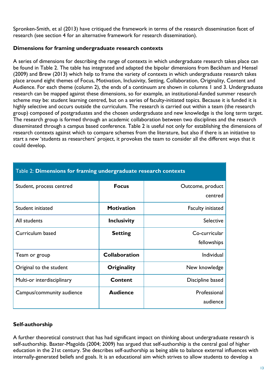Spronken-Smith, et al (2013) have critiqued the framework in terms of the research dissemination facet of research (see section 4 for an alternative framework for research dissemination).

#### <span id="page-12-0"></span>**Dimensions for framing undergraduate research contexts**

A series of dimensions for describing the range of contexts in which undergraduate research takes place can be found in Table 2. The table has integrated and adapted the bipolar dimensions from Beckham and Hensel (2009) and Brew (2013) which help to frame the variety of contexts in which undergraduate research takes place around eight themes of Focus, Motivation, Inclusivity, Setting, Collaboration, Originality, Content and Audience. For each theme (column 2), the ends of a continuum are shown in columns 1 and 3. Undergraduate research can be mapped against these dimensions, so for example, an institutional-funded summer research scheme may be: student learning centred, but on a series of faculty-initiated topics. Because it is funded it is highly selective and occurs outside the curriculum. The research is carried out within a team (the research group) composed of postgraduates and the chosen undergraduate and new knowledge is the long term target. The research group is formed through an academic collaboration between two disciplines and the research disseminated through a campus based conference. Table 2 is useful not only for establishing the dimensions of research contexts against which to compare schemes from the literature, but also if there is an initiative to start a new 'students as researchers' project, it provokes the team to consider all the different ways that it could develop.

| Student, process centred   | <b>Focus</b>       | Outcome, product         |
|----------------------------|--------------------|--------------------------|
|                            |                    | centred                  |
| Student initiated          | <b>Motivation</b>  | <b>Faculty initiated</b> |
| All students               | <b>Inclusivity</b> | <b>Selective</b>         |
| Curriculum based           | <b>Setting</b>     | Co-curricular            |
|                            |                    | fellowships              |
| Team or group              | Collaboration      | Individual               |
| Original to the student    | Originality        | New knowledge            |
| Multi-or interdisciplinary | Content            | Discipline based         |
| Campus/community audience  | <b>Audience</b>    | Professional             |
|                            |                    | audience                 |
|                            |                    |                          |

# Table 2: **Dimensions for framing undergraduate research contexts**

#### <span id="page-12-1"></span>**Self-authorship**

A further theoretical construct that has had significant impact on thinking about undergraduate research is self-authorship. Baxter-Magolda (2004; 2009) has argued that self-authorship is the central goal of higher education in the 21st century. She describes self-authorship as being able to balance external influences with internally-generated beliefs and goals. It is an educational aim which strives to allow students to develop a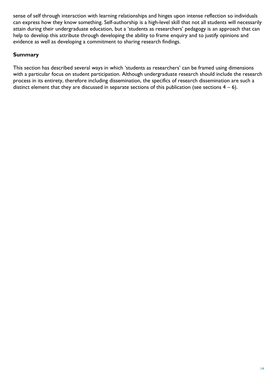sense of self through interaction with learning relationships and hinges upon intense reflection so individuals can express how they know something. Self-authorship is a high-level skill that not all students will necessarily attain during their undergraduate education, but a 'students as researchers' pedagogy is an approach that can help to develop this attribute through developing the ability to frame enquiry and to justify opinions and evidence as well as developing a commitment to sharing research findings.

#### <span id="page-13-0"></span>**Summary**

This section has described several ways in which 'students as researchers' can be framed using dimensions with a particular focus on student participation. Although undergraduate research should include the research process in its entirety, therefore including dissemination, the specifics of research dissemination are such a distinct element that they are discussed in separate sections of this publication (see sections  $4 - 6$ ).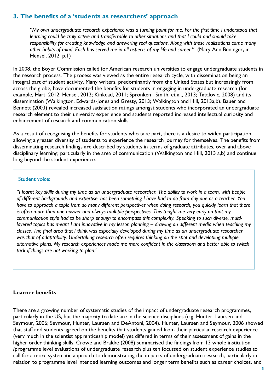# <span id="page-14-0"></span>**3. The benefits of a 'students as researchers' approach**

*"My own undergraduate research experience was a turning point for me. For the first time I understood that learning could be truly active and transferrable to other situations and that I could and should take responsibility for creating knowledge and answering real questions. Along with those realizations came many other habits of mind. Each has served me in all aspects of my life and career."* (Mary Ann Beninger, in Hensel, 2012, p.1)

In 2008, the Boyer Commission called for American research universities to engage undergraduate students in the research process. The process was viewed as the entire research cycle, with dissemination being an integral part of student activity. Many writers, predominantly from the United States but increasingly from across the globe, have documented the benefits for students in engaging in undergraduate research (for example, Hart, 2012; Hensel, 2012; Kinkead, 2011; Spronken –Smith, et al., 2013; Tatalovic, 2008) and its dissemination (Walkington, Edwards-Jones and Gresty, 2013; Walkington and Hill, 2013a,b). Bauer and Bennett (2003) revealed increased satisfaction ratings amongst students who incorporated an undergraduate research element to their university experience and students reported increased intellectual curiosity and enhancement of research and communication skills.

As a result of recognising the benefits for students who take part, there is a desire to widen participation, allowing a greater diversity of students to experience the research journey for themselves. The benefits from disseminating research findings are described by students in terms of graduate attributes, over and above disciplinary learning, particularly in the area of communication (Walkington and Hill, 2013 a,b) and continue long beyond the student experience.

#### Student voice:

*"I learnt key skills during my time as an undergraduate researcher. The ability to work in a team, with people of different backgrounds and expertise, has been something I have had to do from day one as a teacher. You have to approach a topic from so many different perspectives when doing research, you quickly learn that there is often more than one answer and always multiple perspectives. This taught me very early on that my communication style had to be sharp enough to encompass this complexity. Speaking to such diverse, multilayered topics has meant I am innovative in my lesson planning – drawing on different media when teaching my classes. The final area that I think was especially developed during my time as an undergraduate researcher was that of adaptability. Undertaking research often requires thinking on the spot and developing multiple alternative plans. My research experiences made me more confident in the classroom and better able to switch tack if things are not working to plan.'*

#### <span id="page-14-1"></span>**Learner benefits**

There are a growing number of systematic studies of the impact of undergraduate research programmes, particularly in the US, but the majority to date are in the science disciplines (e.g. Hunter, Laursen and Seymour, 2006; Seymour, Hunter, Laursen and DeAntoni, 2004). Hunter, Laursen and Seymour, 2006 showed that staff and students agreed on the benefits that students gained from their particular research experience (very much in the scientist apprenticeship model) yet differed in terms of their assessment of gains in the higher order thinking skills. Crowe and Brakke (2008) summarised the findings from 13 whole institution /programme level evaluations of undergraduate research plus ten focussed on student experience studies to call for a more systematic approach to demonstrating the impacts of undergraduate research, particularly in relation to programme level intended learning outcomes and longer term benefits such as career choices, and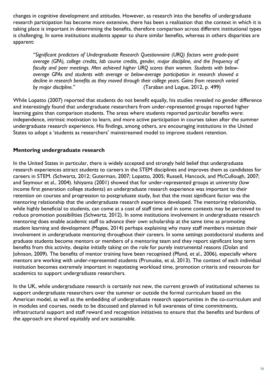changes in cognitive development and attitudes. However, as research into the benefits of undergraduate research participation has become more extensive, there has been a realisation that the context in which it is taking place is important in determining the benefits, therefore comparison across different institutional types is challenging. In some institutions students appear to share similar benefits, whereas in others disparities are apparent:

*"Significant predictors of Undergraduate Research Questionnaire (URQ) factors were grade-point average (GPA), college credits, lab course credits, gender, major discipline, and the frequency of faculty and peer meetings. Men achieved higher URQ scores than women. Students with belowaverage GPAs and students with average or below-average participation in research showed a decline in research benefits as they moved through their college years. Gains from research varied by major discipline."* (Taraban and Logue, 2012, p. 499)

While Lopatto (2007) reported that students do not benefit equally, his studies revealed no gender difference and interestingly found that undergraduate researchers from under-represented groups reported higher learning gains than comparison students. The areas where students reported particular benefits were: independence, intrinsic motivation to learn, and more active participation in courses taken after the summer undergraduate research experience. His findings, among others, are encouraging institutions in the United States to adopt a 'students as researchers' mainstreamed model to improve student retention.

#### <span id="page-15-0"></span>**Mentoring undergraduate research**

In the United States in particular, there is widely accepted and strongly held belief that undergraduate research experiences attract students to careers in the STEM disciplines and improves them as candidates for careers in STEM. (Schwartz, 2012; Guterman, 2007; Lopatto, 2005; Russell, Hancock, and McCullough, 2007; and Seymour et al., 2004). Ishiyama (2001) showed that for under-represented groups at university (low income first generation college students) an undergraduate research experience was important to their retention on courses and progression to postgraduate study, but that the most significant factor was the mentoring relationship that the undergraduate research experience developed. The mentoring relationship, while highly beneficial to students, can come at a cost of staff time and in some contexts may be perceived to reduce promotion possibilities (Schwartz, 2012). In some institutions involvement in undergraduate research mentoring does enable academic staff to advance their own scholarship at the same time as promoting student learning and development (Magee, 2014) perhaps explaining why many staff members maintain their involvement in undergraduate mentoring throughout their careers. In some settings postdoctoral students and graduate students become mentors or members of a mentoring team and they report significant long term benefits from this activity, despite initially taking on the role for purely instrumental reasons (Dolan and Johnson, 2009). The benefits of mentor training have been recognised (Pfund, et al., 2006), especially where mentors are working with under-represented students (Prunuske, et al, 2013). The context of each individual institution becomes extremely important in negotiating workload time, promotion criteria and resources for academics to support undergraduate researchers.

In the UK, while undergraduate research is certainly not new, the current growth of institutional schemes to support undergraduate researchers over the summer or outside the formal curriculum based on the American model, as well as the embedding of undergraduate research opportunities in the co-curriculum and in modules and courses, needs to be discussed and planned in full awareness of time commitments, infrastructural support and staff reward and recognition initiatives to ensure that the benefits and burdens of the approach are shared equitably and are sustainable.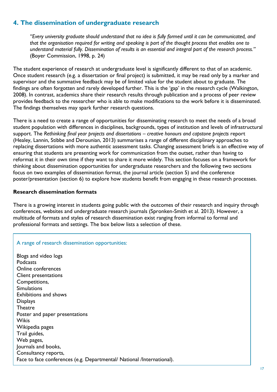# <span id="page-16-0"></span>**4. The dissemination of undergraduate research**

*"Every university graduate should understand that no idea is fully formed until it can be communicated, and that the organisation required for writing and speaking is part of the thought process that enables one to understand material fully. Dissemination of results is an essential and integral part of the research process."* (Boyer Commission, 1998, p. 24)

The student experience of research at undergraduate level is significantly different to that of an academic. Once student research (e.g. a dissertation or final project) is submitted, it may be read only by a marker and supervisor and the summative feedback may be of limited value for the student about to graduate. The findings are often forgotten and rarely developed further. This is the 'gap' in the research cycle (Walkington, 2008). In contrast, academics share their research results through publication and a process of peer review provides feedback to the researcher who is able to make modifications to the work before it is disseminated. The findings themselves may spark further research questions.

There is a need to create a range of opportunities for disseminating research to meet the needs of a broad student population with differences in disciplines, backgrounds, types of institution and levels of infrastructural support. The *Rethinking final year projects and dissertations – creative honours and capstone projects report* (Healey, Lannin, Stibbe and Derounian, 2013) summarises a range of different disciplinary approaches to replacing dissertations with more authentic assessment tasks. Changing assessment briefs is an effective way of ensuring that students are presenting work for communication from the outset, rather than having to reformat it in their own time if they want to share it more widely. This section focuses on a framework for thinking about dissemination opportunities for undergraduate researchers and the following two sections focus on two examples of dissemination format, the journal article (section 5) and the conference poster/presentation (section 6) to explore how students benefit from engaging in these research processes.

#### <span id="page-16-1"></span>**Research dissemination formats**

There is a growing interest in students going public with the outcomes of their research and inquiry through conferences, websites and undergraduate research journals (Spronken-Smith et al. 2013). However, a multitude of formats and styles of research dissemination exist ranging from informal to formal and professional formats and settings. The box below lists a selection of these.

# A range of research dissemination opportunities:

Blogs and video logs **Podcasts** Online conferences Client presentations Competitions, **Simulations** Exhibitions and shows Displays **Theatre** Poster and paper presentations Wikis Wikipedia pages Trail guides, Web pages, Journals and books, Consultancy reports, Face to face conferences (e.g. Departmental/ National /International).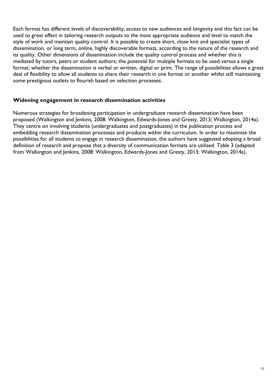Each format has different levels of discoverability, access to new audiences and longevity and this fact can be used to great effect in tailoring research outputs to the most appropriate audience and level to match the style of work and maintain quality control. It is possible to create short, close knit and specialist types of dissemination, or long term, online, highly discoverable formats, according to the nature of the research and its quality. Other dimensions of dissemination include the quality control process and whether this is mediated by tutors, peers or student authors; the potential for multiple formats to be used versus a single format; whether the dissemination is verbal or written, digital or print. The range of possibilities allows a great deal of flexibility to allow all students to share their research in one format or another whilst still maintaining some prestigious outlets to flourish based on selection processes.

#### <span id="page-17-0"></span>**Widening engagement in research dissemination activities**

Numerous strategies for broadening participation in undergraduate research dissemination have been proposed (Walkington and Jenkins, 2008: Walkington, Edwards-Jones and Gresty, 2013; Walkington, 2014a). They centre on involving students (undergraduates and postgraduates) in the publication process and embedding research dissemination processes and products within the curriculum. In order to maximise the possibilities for all students to engage in research dissemination, the authors have suggested adopting a broad definition of research and propose that a diversity of communication formats are utilised. Table 3 (adapted from Walkington and Jenkins, 2008: Walkington, Edwards-Jones and Gresty, 2013; Walkington, 2014a).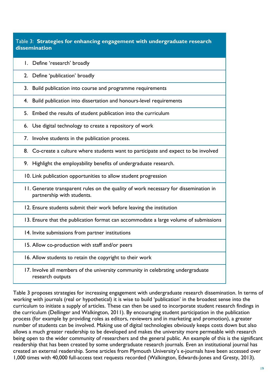#### Table 3: **Strategies for enhancing engagement with undergraduate research dissemination**

- 1. Define 'research' broadly
- 2. Define 'publication' broadly
- 3. [Build publication into course and programme requirements](http://bejlt.brookes.ac.uk/article/embedding_undergraduate_research_publication_in_the_student_learning_experi/#Strategy_two%3A_build_publication_into_course_and_programme_requirements)
- 4. Build publication into dissertation and honours-level requirements
- 5. Embed the results of student publication into the curriculum
- 6. Use digital technology to create a repository of work
- 7. Involve students in the publication process.
- 8. Co-create a culture where students want to participate and expect to be involved
- 9. Highlight the employability benefits of undergraduate research.
- 10. Link publication opportunities to allow student progression
- 11. Generate transparent rules on the quality of work necessary for dissemination in partnership with students.
- 12. Ensure students submit their work before leaving the institution
- 13. Ensure that the publication format can accommodate a large volume of submissions
- 14. Invite submissions from partner institutions
- 15. Allow co-production with staff and/or peers
- 16. Allow students to retain the copyright to their work
- 17. Involve all members of the university community in celebrating undergraduate research outputs

Table 3 proposes strategies for increasing engagement with undergraduate research dissemination. In terms of working with journals (real or hypothetical) it is wise to build 'publication' in the broadest sense into the curriculum to initiate a supply of articles. These can then be used to incorporate student research findings in the curriculum (Dellinger and Walkington, 2011). By encouraging student participation in the publication process (for example by providing roles as editors, reviewers and in marketing and promotion), a greater number of students can be involved. Making use of digital technologies obviously keeps costs down but also allows a much greater readership to be developed and makes the university more permeable with research being open to the wider community of researchers and the general public. An example of this is the significant readership that has been created by some undergraduate research journals. Even an institutional journal has created an external readership. Some articles from Plymouth University's e-journals have been accessed over 1,000 times with 40,000 full-access text requests recorded (Walkington, Edwards-Jones and Gresty, 2013).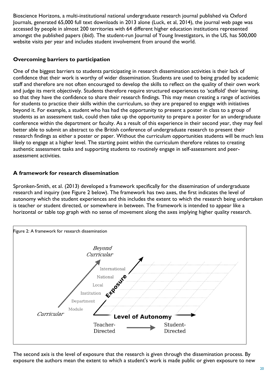Bioscience Horizons, a multi-institutional national undergraduate research journal published via Oxford Journals, generated 65,000 full text downloads in 2013 alone (Luck, et al, 2014), the journal web page was accessed by people in almost 200 territories with 64 different higher education institutions represented amongst the published papers (ibid). The student-run Journal of Young Investigators, in the US, has 500,000 website visits per year and includes student involvement from around the world.

### <span id="page-19-0"></span>**Overcoming barriers to participation**

One of the biggest barriers to students participating in research dissemination activities is their lack of confidence that their work is worthy of wider dissemination. Students are used to being graded by academic staff and therefore are not often encouraged to develop the skills to reflect on the quality of their own work and judge its merit objectively. Students therefore require structured experiences to 'scaffold' their learning, so that they have the confidence to share their research findings. This may mean creating a range of activities for students to practice their skills within the curriculum, so they are prepared to engage with initiatives beyond it. For example, a student who has had the opportunity to present a poster in class to a group of students as an assessment task, could then take up the opportunity to prepare a poster for an undergraduate conference within the department or faculty. As a result of this experience in their second year, they may feel better able to submit an abstract to the British conference of undergraduate research to present their research findings as either a poster or paper. Without the curriculum opportunities students will be much less likely to engage at a higher level. The starting point within the curriculum therefore relates to creating authentic assessment tasks and supporting students to routinely engage in self-assessment and peerassessment activities.

#### <span id="page-19-1"></span>**A framework for research dissemination**

Spronken-Smith, et al. (2013) developed a framework specifically for the dissemination of undergraduate research and inquiry (see Figure 2 below). The framework has two axes, the first indicates the level of autonomy which the student experiences and this includes the extent to which the research being undertaken is teacher or student directed, or somewhere in between. The framework is intended to appear like a horizontal or table top graph with no sense of movement along the axes implying higher quality research.



The second axis is the level of exposure that the research is given through the dissemination process. By exposure the authors mean the extent to which a student's work is made public or given exposure to new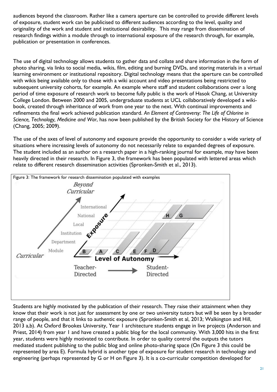audiences beyond the classroom. Rather like a camera aperture can be controlled to provide different levels of exposure, student work can be publicised to different audiences according to the level, quality and originality of the work and student and institutional desirability. This may range from dissemination of research findings within a module through to international exposure of the research through, for example, publication or presentation in conferences.

The use of digital technology allows students to gather data and collate and share information in the form of photo sharing, via links to social media, wikis, film, editing and burning DVDs, and storing materials in a virtual learning environment or institutional repository. Digital technology means that the aperture can be controlled with wikis being available only to those with a wiki account and video presentations being restricted to subsequent university cohorts, for example. An example where staff and student collaborations over a long period of time exposure of research work to become fully public is the work of Hasok Chang, at University College London. Between 2000 and 2005, undergraduate students at UCL collaboratively developed a wikibook, created through inheritance of work from one year to the next. With continual improvements and refinements the final work achieved publication standard. *An Element of Controversy: The Life of Chlorine in Science, Technology, Medicine and War*, has now been published by the British Society for the History of Science (Chang, 2005; 2009).

The use of the axes of level of autonomy and exposure provide the opportunity to consider a wide variety of situations where increasing levels of autonomy do not necessarily relate to expanded degrees of exposure. The student included as an author on a research paper in a high-ranking journal for example, may have been heavily directed in their research. In Figure 3, the framework has been populated with lettered areas which relate to different research dissemination activities (Spronken-Smith et al., 2013).



Students are highly motivated by the publication of their research. They raise their attainment when they know that their work is not just for assessment by one or two university tutors but will be seen by a broader range of people, and that it links to authentic exposure (Spronken-Smith et al, 2013; Walkington and Hill, 2013 a,b). At Oxford Brookes University, Year 1 architecture students engage in live projects (Anderson and Priest, 2014) from year 1 and have created a public blog for the local community. With 3,000 hits in the first year, students were highly motivated to contribute. In order to quality control the outputs the tutors mediated student publishing to the public blog and online photo-sharing space (On Figure 3 this could be represented by area E). Formula hybrid is another type of exposure for student research in technology and engineering (perhaps represented by G or H on Figure 3). It is a co-curricular competition developed for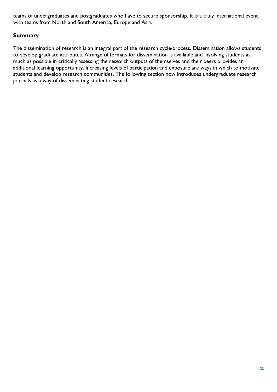teams of undergraduates and postgraduates who have to secure sponsorship. It is a truly international event with teams from North and South America, Europe and Asia.

#### <span id="page-21-0"></span>**Summary**

<span id="page-21-1"></span>The dissemination of research is an integral part of the research cycle/process. Dissemination allows students to develop graduate attributes. A range of formats for dissemination is available and involving students as much as possible in critically assessing the research outputs of themselves and their peers provides an additional learning opportunity. Increasing levels of participation and exposure are ways in which to motivate students and develop research communities. The following section now introduces undergraduate research journals as a way of disseminating student research.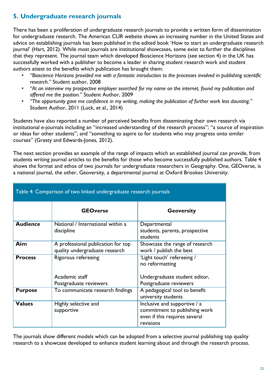# **5. Undergraduate research journals**

There has been a proliferation of undergraduate research journals to provide a written form of dissemination for undergraduate research. The American CUR website shows an increasing number in the United States and advice on establishing journals has been published in the edited book 'How to start an undergraduate research journal' (Hart, 2012). While most journals are institutional showcases, some exist to further the disciplines that they represent. The journal team which developed Bioscience Horizons (see section 4) in the UK has successfully worked with a publisher to become a leader in sharing student research work and student authors attest to the benefits which publication has brought them:

- *"Bioscience Horizons provided me with a fantastic introduction to the processes involved in publishing scientific research."* Student author, 2008
- *"At an interview my prospective employer searched for my name on the internet, found my publication and offered me the position."* Student Author, 2009
- *"The opportunity gave me confidence in my writing, making the publication of further work less daunting."* Student Author, 2011 (Luck, et al., 2014)

Students have also reported a number of perceived benefits from disseminating their own research via institutional e-journals including an "increased understanding of the research process"; "a source of inspiration or ideas for other students"; and "something to aspire to for students who may progress onto similar courses" (Gresty and Edwards-Jones, 2012).

The next section provides an example of the range of impacts which an established journal can provide, from students writing journal articles to the benefits for those who become successfully published authors. Table 4 shows the format and ethos of two journals for undergraduate researchers in Geography. One, GEOverse, is a national journal, the other, Geoversity, a departmental journal at Oxford Brookes University.

|                 | Table 4: Comparison of two linked undergraduate research journals    |                                                                                                             |
|-----------------|----------------------------------------------------------------------|-------------------------------------------------------------------------------------------------------------|
|                 | <b>GEOverse</b>                                                      | <b>Geoversity</b>                                                                                           |
| <b>Audience</b> | National / International within a<br>discipline                      | Departmental<br>students, parents, prospective<br>students                                                  |
| <b>Aim</b>      | A professional publication for top<br>quality undergraduate research | Showcase the range of research<br>work / publish the best                                                   |
| <b>Process</b>  | Rigorous refereeing                                                  | 'Light touch' refereeing /<br>no reformatting                                                               |
|                 | Academic staff<br>Postgraduate reviewers                             | Undergraduate student editor,<br>Postgraduate reviewers                                                     |
| <b>Purpose</b>  | To communicate research findings                                     | A pedagogical tool to benefit<br>university students                                                        |
| <b>Values</b>   | Highly selective and<br>supportive                                   | Inclusive and supportive / a<br>commitment to publishing work<br>even if this requires several<br>revisions |

The journals show different models which can be adopted from a selective journal publishing top quality research to a showcase developed to enhance student learning about and through the research process.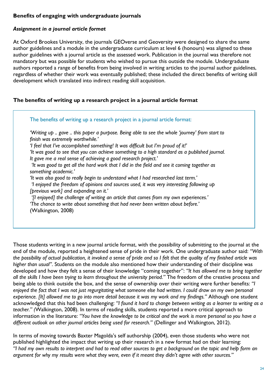#### <span id="page-23-0"></span>**Benefits of engaging with undergraduate journals**

#### *Assignment in a journal article format*

At Oxford Brookes University, the journals GEOverse and Geoversity were designed to share the same author guidelines and a module in the undergraduate curriculum at level 6 (honours) was aligned to these author guidelines with a journal article as the assessed work. Publication in the journal was therefore not mandatory but was possible for students who wished to pursue this outside the module. Undergraduate authors reported a range of benefits from being involved in writing articles to the journal author guidelines, regardless of whether their work was eventually published; these included the direct benefits of writing skill development which translated into indirect reading skill acquisition.

#### **The benefits of writing up a research project in a journal article format**

| 'Writing up  gave  this paper a purpose. Being able to see the whole 'journey' from start to                        |
|---------------------------------------------------------------------------------------------------------------------|
| finish was extremely worthwhile.'                                                                                   |
| 'I feel that I've accomplished something! It was difficult but I'm proud of it!'                                    |
| 'It was good to see that you can achieve something to a high standard as a published journal.                       |
| It gave me a real sense of achieving a good research project.'                                                      |
| 'It was good to get all the hard work that I did in the field and see it coming together as<br>something academic.' |
| 'It was also good to really begin to understand what I had researched last term.'                                   |
| 'I enjoyed the freedom of opinions and sources used, it was very interesting following up                           |
| [previous work] and expanding on it.'                                                                               |
| '[I enjoyed] the challenge of writing an article that comes from my own experiences.'                               |
| 'The chance to write about something that had never been written about before.'                                     |
| (Walkington, 2008)                                                                                                  |

Those students writing in a new journal article format, with the possibility of submitting to the journal at the end of the module, reported a heightened sense of pride in their work. One undergraduate author said: *"With the possibility of actual publication, it invoked a sense of pride and so I felt that the quality of my finished article was higher than usual"*. Students on the module also mentioned how their understanding of their discipline was developed and how they felt a sense of their knowledge "coming together": *"It has allowed me to bring together all the skills I have been trying to learn throughout the university period."* The freedom of the creative process and being able to think outside the box, and the sense of ownership over their writing were further benefits: *"I enjoyed the fact that I was not just regurgitating what someone else had written. I could draw on my own personal experience. [It] allowed me to go into more detail because it was my work and my findings."* Although one student acknowledged that this had been challenging: *"I found it hard to change between writing as a learner to writing as a teacher." (*Walkington, 2008). In terms of reading skills, students reported a more critical approach to information in the literature: *"You have the knowledge to be critical and the work is more personal so you have a different outlook on other journal articles being used for research."* (Dellinger and Walkington, 2012).

In terms of moving towards Baxter Magolda's self authorship (2004), even those students who were not published highlighted the impact that writing up their research in a new format had on their learning: *"I had my own results to interpret and had to read other sources to get a background on the topic and help form an argument for why my results were what they were, even if it meant they didn't agree with other sources."*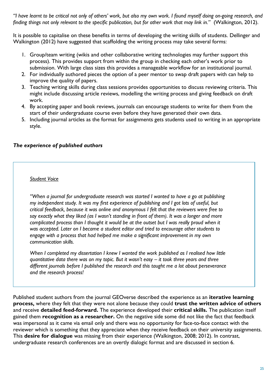*"I have learnt to be critical not only of others' work, but also my own work. I found myself doing on-going research, and finding things not only relevant to the specific publication, but for other work that may link in."* (Walkington, 2012).

It is possible to capitalise on these benefits in terms of developing the writing skills of students. Dellinger and Walkington (2012) have suggested that scaffolding the writing process may take several forms:

- 1. Group/team writing (wikis and other collaborative writing technologies may further support this process). This provides support from within the group in checking each other's work prior to submission. With large class sizes this provides a manageable workflow for an institutional journal.
- 2. For individually authored pieces the option of a peer mentor to swap draft papers with can help to improve the quality of papers.
- 3. Teaching writing skills during class sessions provides opportunities to discuss reviewing criteria. This might include discussing article reviews, modelling the writing process and giving feedback on draft work.
- 4. By accepting paper and book reviews, journals can encourage students to write for them from the start of their undergraduate course even before they have generated their own data.
- 5. Including journal articles as the format for assignments gets students used to writing in an appropriate style.

#### *The experience of published authors*

*Student Voice*

*"When a journal for undergraduate research was started I wanted to have a go at publishing my independent study. It was my first experience of publishing and I got lots of useful, but critical feedback, because it was online and anonymous I felt that the reviewers were free to say exactly what they liked (as I wasn't standing in front of them). It was a longer and more complicated process than I thought it would be at the outset but I was really proud when it was accepted. Later on I became a student editor and tried to encourage other students to engage with a process that had helped me make a significant improvement in my own communication skills.*

*When I completed my dissertation I knew I wanted the work published as I realised how little quantitative data there was on my topic. But it wasn't easy – it took three years and three different journals before I published the research and this taught me a lot about perseverance and the research process!*

Published student authors from the journal GEOverse described the experience as an **iterative learning process,** where they felt that they were not alone because they could **trust the written advice of others**  and receive **detailed feed-forward.** The experience developed their **critical skills.** The publication itself gained them **recognition as a researcher.** On the negative side some did not like the fact that feedback was impersonal as it came via email only and there was no opportunity for face-to-face contact with the reviewer which is something that they appreciate when they receive feedback on their university assignments. This **desire for dialogue** was missing from their experience (Walkington, 2008; 2012). In contrast, undergraduate research conferences are an overtly dialogic format and are discussed in section 6.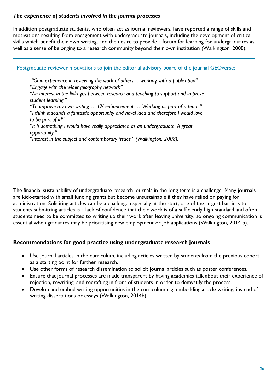#### *The experience of students involved in the journal processes*

In addition postgraduate students, who often act as journal reviewers, have reported a range of skills and motivations resulting from engagement with undergraduate journals, including the development of critical skills which benefit their own writing, and the desire to provide a forum for learning for undergraduates as well as a sense of belonging to a research community beyond their own institution (Walkington, 2008).

Postgraduate reviewer motivations to join the editorial advisory board of the journal GEOverse: *"Gain experience in reviewing the work of others… working with a publication" "Engage with the wider geography network" "An interest in the linkages between research and teaching to support and improve student learning." "To improve my own writing … CV enhancement … Working as part of a team." "I think it sounds a fantastic opportunity and novel idea and therefore I would love to be part of it!" "It is something I would have really appreciated as an undergraduate. A great opportunity." "Interest in the subject and contemporary issues." (Walkington, 2008).*

The financial sustainability of undergraduate research journals in the long term is a challenge. Many journals are kick-started with small funding grants but become unsustainable if they have relied on paying for administration. Soliciting articles can be a challenge especially at the start, one of the largest barriers to students submitting articles is a lack of confidence that their work is of a sufficiently high standard and often students need to be committed to writing up their work after leaving university, so ongoing communication is essential when graduates may be prioritising new employment or job applications (Walkington, 2014 b).

#### <span id="page-25-0"></span>**Recommendations for good practice using undergraduate research journals**

- Use journal articles in the curriculum, including articles written by students from the previous cohort as a starting point for further research.
- Use other forms of research dissemination to solicit journal articles such as poster conferences.
- Ensure that journal processes are made transparent by having academics talk about their experience of rejection, rewriting, and redrafting in front of students in order to demystify the process.
- <span id="page-25-1"></span> Develop and embed writing opportunities in the curriculum e.g. embedding article writing, instead of writing dissertations or essays (Walkington, 2014b).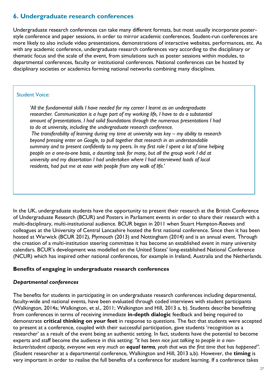# **6. Undergraduate research conferences**

Undergraduate research conferences can take many different formats, but most usually incorporate posterstyle conference and paper sessions, in order to mirror academic conferences. Student-run conferences are more likely to also include video presentations, demonstrations of interactive websites, performances, etc. As with any academic conference, undergraduate research conferences vary according to the disciplinary or thematic focus and the scale of the event, from simulations such as poster sessions within modules, to departmental conferences, faculty or institutional conferences. National conferences can be hosted by disciplinary societies or academics forming national networks combining many disciplines.

#### Student Voice:

*'All the fundamental skills I have needed for my career I learnt as an undergraduate researcher. Communication is a huge part of my working life, I have to do a substantial amount of presentations. I had solid foundations through the numerous presentations I had to do at university, including the undergraduate research conference.* 

*The transferability of learning during my time at university was key – my ability to research beyond pressing enter on Google, to pull together that research in an understandable summary and to present confidently to my peers. In my first role I spent a lot of time helping people on a one-to-one basis, a daunting task for many, but all the group work I did at university and my dissertation I had undertaken where I had interviewed loads of local residents, had put me at ease with people from any walk of life.'*

In the UK, undergraduate students have the opportunity to present their research at the British [Conference](http://bcur.org/)  [of Undergraduate Research](http://bcur.org/) (BCUR) and Posters in Parliament events in order to share their research with a multi-disciplinary, multi-institutional audience. BCUR began in 2011 when Stuart Hampton-Reeves and colleagues at the University of Central Lancashire hosted the first national conference. Since then it has been hosted at Warwick (BCUR 2012), Plymouth (2013) and Nottingham (2014) and is an annual event. Through the creation of a multi-institution steering committee it has become an established event in many university calendars. BCUR's development was modelled on the United States' long-established National Conference (NCUR) which has inspired other national conferences, for example in Ireland, Australia and the Netherlands.

#### <span id="page-26-0"></span>**Benefits of engaging in undergraduate research conferences**

#### *Departmental conferences*

The benefits for students in participating in on undergraduate research conferences including departmental, faculty-wide and national events, have been evaluated through coded interviews with student participants (Walkington, 2014a; Walkington, et al., 2011; Walkington and Hill, 2013 a, b). Students describe benefitting from conferences in terms of receiving immediate **in-depth dialogic** feedback and being required to demonstrate **critical thinking on your feet** in response to questions. The fact that students were accepted to present at a conference, coupled with their successful participation, gave students 'recognition as a researcher' as a result of the event being an authentic setting. In fact, students have the potential to become experts and staff become the audience in this setting: *"it has been nice just talking to people in a nonlecturer/student capacity, everyone was very much on equal terms, yeah that was the first time that has happened".* (Student researcher at a departmental conference, Walkington and Hill, 2013 a,b). However, the **timing** is very important in order to realise the full benefits of a conference for student learning. If a conference takes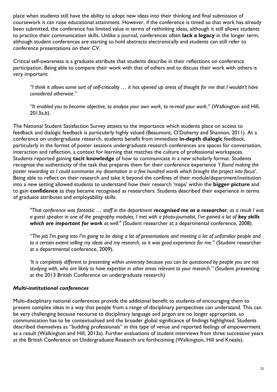place when students still have the ability to adopt new ideas into their thinking and final submission of coursework it can raise educational attainment. However, if the conference is timed so that work has already been submitted, the conference has limited value in terms of rethinking ideas, although it still allows students to practice their communication skills. Unlike a journal, conferences often **lack a legacy** in the longer term, although student conferences are starting to hold abstracts electronically and students can still refer to conference presentations on their CV.

Critical self-awareness is a graduate attribute that students describe in their reflections on conference participation. Being able to compare their work with that of others and to discuss their work with others is very important:

*"I think it allows some sort of self-criticality … it has opened up areas of thought for me that I wouldn't have considered otherwise*."

*"It enabled you to become objective, to analyse your own work, to re-read your work."* (Walkington and Hill, 2013a,b).

The National Student Satisfaction Survey attests to the importance which students place on access to feedback and dialogic feedback is particularly highly valued (Beaumont, O'Doherty and Shannon, 2011). At a conference on undergraduate research, students benefit from immediate **in-depth dialogic** feedback, particularly in the format of poster sessions undergraduate research conferences are spaces for conversation, interaction and reflection, a context for learning that matches the culture of professional workspaces. Students reported gaining **tacit knowledge** of how to communicate in a new scholarly format. Students recognise the authenticity of the task that prepares them for their conference experience *'I found making the poster rewarding as I could summarise my dissertation in a few hundred words which brought the project into focus'.*  Being able to reflect on their research and take it beyond the confines of their module/department/institution into a new setting allowed students to understand how their research 'maps' within the **bigger picture** and to gain **confidence** as they became recognised as researchers. Students described their experience in terms of graduate attributes and employability skills:

*"That conference was fantastic … staff in the department recognised me as a researcher, as a result I was a guest speaker in one of the geography modules, I met with a photo-journalist, I've gained a lot of key skills which are important for work as well."* (Student researcher at a departmental conference, 2008).

*"The job I'm going into I'm going to be doing a lot of presentations and meeting a lot of unfamiliar people and to a certain extent selling my ideas and my research, so it was good experience for me."* (Student researcher at a departmental conference, 2009).

*'It is completely different to presenting within university because you can be questioned by people you are not studying with, who are likely to have expertise in other areas relevant to your research."* (Student presenting at the 2013 British Conference on undergraduate research)

#### *Multi-institutional conferences*

Multi-disciplinary national conferences provide the additional benefit to students of encouraging them to present complex ideas in a way that people from a range of disciplinary perspectives can understand. This can be very challenging because recourse to disciplinary language and jargon are no longer appropriate, so communication has to be contextualised and the broader global significance of findings highlighted. Students described themselves as "budding professionals" in this type of venue and reported feelings of empowerment as a result (Walkington and Hill, 2013a). Further evaluations of student interviews from three successive years at the British Conference on Undergraduate Research are forthcoming (Walkington, Hill and Kneale).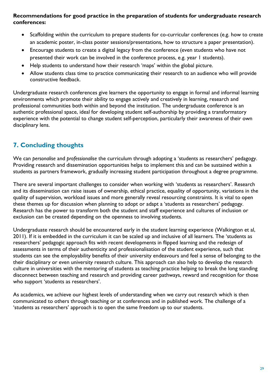#### <span id="page-28-0"></span>**Recommendations for good practice in the preparation of students for undergraduate research conferences:**

- Scaffolding within the curriculum to prepare students for co-curricular conferences (e.g. how to create an academic poster, in-class poster sessions/presentations, how to structure a paper presentation).
- Encourage students to create a digital legacy from the conference (even students who have not presented their work can be involved in the conference process, e.g. year 1 students).
- Help students to understand how their research 'maps' within the global picture.
- Allow students class time to practice communicating their research to an audience who will provide constructive feedback.

Undergraduate research conferences give learners the opportunity to engage in formal and informal learning environments which promote their ability to engage actively and creatively in learning, research and professional communities both within and beyond the institution. The undergraduate conference is an authentic professional space, ideal for developing student self-authorship by providing a transformatory experience with the potential to change student self-perception, particularly their awareness of their own disciplinary lens.

# <span id="page-28-1"></span>**7. Concluding thoughts**

We can *personalise* and *professionalise* the curriculum through adopting a 'students as researchers' pedagogy. Providing research and dissemination opportunities helps to implement this and can be sustained within a students as partners framework, gradually increasing student participation throughout a degree programme.

There are several important challenges to consider when working with 'students as researchers'. Research and its dissemination can raise issues of ownership, ethical practice, equality of opportunity, variations in the quality of supervision, workload issues and more generally reveal resourcing constraints. It is vital to open these themes up for discussion when planning to adopt or adapt a 'students as researchers' pedagogy. Research has the power to transform both the student and staff experience and cultures of inclusion or exclusion can be created depending on the openness to involving students.

Undergraduate research should be encountered early in the student learning experience (Walkington et al, 2011). If it is embedded in the curriculum it can be scaled up and inclusive of all learners. The 'students as researchers' pedagogic approach fits with recent developments in flipped learning and the redesign of assessments in terms of their authenticity and professionalisation of the student experience, such that students can see the employability benefits of their university endeavours and feel a sense of belonging to the their disciplinary or even university research culture. This approach can also help to develop the research culture in universities with the mentoring of students as teaching practice helping to break the long standing disconnect between teaching and research and providing career pathways, reward and recognition for those who support 'students as researchers'.

As academics, we achieve our highest levels of understanding when we carry out research which is then communicated to others through teaching or at conferences and in published work. The challenge of a 'students as researchers' approach is to open the same freedom up to our students.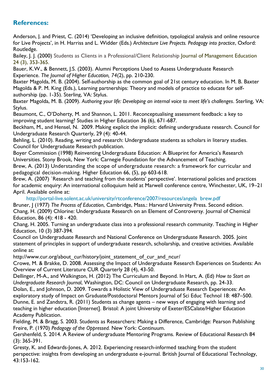# <span id="page-29-0"></span>**References:**

Anderson, J. and Priest, C. (2014) 'Developing an inclusive definition, typological analysis and online resource for Live Projects', in H. Harriss and L. Widder (Eds.) *Architecture Live Projects. Pedagogy into practice*, Oxford: Routledge.

Bailey, J. J. (2000) Students as Clients in a Professional/Client Relationship Journal of Management Education 24 (3), 353-365.

Bauer, K.W., & Bennett, J.S. (2003). Alumni Perceptions Used to Assess Undergraduate Research Experience. *The Journal of Higher Education, 74*(2), pp. 210-230.

Baxter Magolda, M. B. (2004). Self-authorship as the common goal of 21st century education. In M. B. Baxter Magolda & P. M. King (Eds.), Learning partnerships: Theory and models of practice to educate for selfauthorship (pp. 1-35). Sterling, VA: Stylus.

Baxter Magolda, M. B. (2009). *Authoring your life: Developing an internal voice to meet life's challenges*. Sterling, VA: Stylus.

Beaumont, C., O'Doherty, M. and Shannon, L. 2011. Reconceptualising assessment feedback: a key to improving student learning? Studies in Higher Education 36 (6), 671-687.

Beckham, M., and Hensel, N. 2009. Making explicit the implicit: defining undergraduate research. Council for Undergraduate Research Quarterly, 29 (4): 40-44.

Behling, L. (2010). Reading, writing and research: Undergraduate students as scholars in literary studies. Council for Undergraduate Research publication.

Boyer Commission (1998) Reinventing Undergraduate Education: A Blueprint for America's Research Universities. Stony Brook, New York: Carnegie Foundation for the Advancement of Teaching.

Brew, A. (2013) Understanding the scope of undergraduate research: a framework for curricular and pedagogical decision-making. Higher [Education](http://link.springer.com/journal/10734) 66, [\(5\)](http://link.springer.com/journal/10734/66/5/page/1), pp 603-618.

Brew, A. (2007) `Research and teaching from the students' perspective'. International policies and practices for academic enquiry: An international colloquium held at Marwell conference centre, Winchester, UK, 19–21 April. Available online at:

[http://portal-live.solent.ac.uk/university/rtconference/2007/resources/angela\\_brew.pdf](http://portal-live.solent.ac.uk/university/rtconference/2007/resources/angela_brew.pdf)

Bruner, J (1977) *The Process of Education*, Cambridge, Mass.: Harvard University Press. Second edition. Chang, H. (2009) Chlorine: Undergraduate Research on an Element of Controversy. Journal of Chemical Education, 86 (4): 418 - 420.

Chang, H. 2005. Turning an undergraduate class into a professional research community. Teaching in Higher Education, 10 (3) 387-394.

Council on Undergraduate Research and National Conference on Undergraduate Research. 2005. Joint statement of principles in support of undergraduate research, scholarship, and creative activities. Available online at:

http://www.cur.org/about\_cur/history/joint\_statement\_of\_cur\_and\_ncur/

Crowe, M. & Brakke, D. 2008. Assessing the Impact of Undergraduate Research Experiences on Students: An Overview of Current Literature CUR Quarterly 28 (4), 43-50.

Dellinger, M-A., and Walkington, H. (2012) The Curriculum and Beyond. In Hart, A. (Ed) *How to Start an Undergraduate Research Journal*, Washington, DC: Council on Undergraduate Research, pp. 24-33.

Dolan, E., and Johnson, D. 2009. Towards a Holistic View of Undergraduate Research Experiences: An exploratory study of Impact on Graduate/Postdoctoral Mentors Journal of Sci Educ Technol 18: 487–500. Dunne, E. and Zandstra, R. (2011) Students as change agents – new ways of engaging with learning and teaching in higher education [Internet]. Bristol: A joint University of Exeter/ESCalate/Higher Education Academy Publication.

Fielding, M. & Bragg, S. 2003. Students as Researchers: Making a Difference, Cambridge: Pearson Publishing Freire, P. (1970) *Pedagogy of the Oppressed.* New York: Continuum.

Gershenfeld, S. 2014. A Review of undergraduate Mentoring Programs. Review of Educational Research 84 (3): 365-391.

Gresty, K. and Edwards-Jones, A. 2012. Experiencing research-informed teaching from the student perspective: insights from developing an undergraduate e-journal. British Journal of Educational Technology, 43:153-162.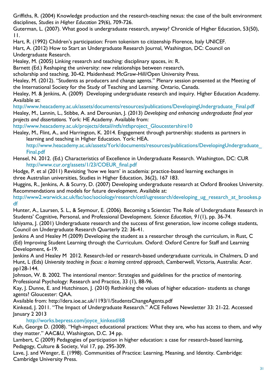Griffiths, R. (2004) Knowledge production and the research-teaching nexus: the case of the built environment disciplines, *Studies in Higher Education* 29(6), 709-726.

Guterman, L. (2007). What good is undergraduate research, anyway? Chronicle of Higher Education, 53(50), 11.

Hart, R. (1992) Children's participation: From tokenism to citizenship Florence, Italy UNICEF.

Hart, A. (2012) How to Start an Undergraduate Research Journal, Washington, DC: Council on Undergraduate Research.

Healey, M. (2005) Linking research and teaching: disciplinary spaces, in: R.

Barnett (Ed.) Reshaping the university: new relationships between research,

scholarship and teaching, 30-42. Maidenhead: McGraw-Hill/Open University Press.

Healey, M. (2012). "Students as producers and change agents." Plenary session presented at the Meeting of the International Society for the Study of Teaching and Learning. Ontario, Canada.

Healey, M. & Jenkins, A. (2009) Developing undergraduate research and inquiry. Higher Education Academy. Available at:

[http://www.heacademy.ac.uk/assets/documents/resources/publications/DevelopingUndergraduate\\_Final.pdf](http://www.heacademy.ac.uk/assets/documents/resources/publications/DevelopingUndergraduate_Final.pdf) Healey, M., Lannin, L., Stibbe, A. and Derounian, J. (2013) *Developing and enhancing undergraduate final year projects and dissertations.* York: HE Academy. Available from:

[http://www.heacademy.ac.uk/projects/detail/ntfs/ntfsproject\\_Gloucestershire10](http://www.heacademy.ac.uk/projects/detail/ntfs/ntfsproject_Gloucestershire10)

Healey, M., Flint, A., and Harrington, K. 2014. Engagement through partnership: students as partners in learning and teaching in Higher Education. York: HEA.

[http://www.heacademy.ac.uk/assets/York/documents/resources/publications/DevelopingUndergraduate\\_](http://www.heacademy.ac.uk/assets/York/documents/resources/publications/DevelopingUndergraduate_Final.pdf) [Final.pdf](http://www.heacademy.ac.uk/assets/York/documents/resources/publications/DevelopingUndergraduate_Final.pdf)

Hensel, N. 2012. (Ed.) Characteristics of Excellence in Undergraduate Research. Washington, DC: CUR [http://www.cur.org/assets/1/23/COEUR\\_final.pdf](http://www.cur.org/assets/1/23/COEUR_final.pdf)

Hodge, P. et al (2011) Revisiting 'how we learn' in academia: practice-based learning exchanges in three Australian universities, Studies in Higher Education, 36(2), 167 183.

Huggins, R., Jenkins, A. & Scurry, D. (2007) Developing undergraduate research at Oxford Brookes University. Recommendations and models for future development. Available at:

[http://www2.warwick.ac.uk/fac/soc/sociology/research/cetl/ugresearch/developing\\_ug\\_research\\_at\\_brookes.p](http://www2.warwick.ac.uk/fac/soc/sociology/research/cetl/ugresearch/developing_ug_research_at_brookes.pdf) [df](http://www2.warwick.ac.uk/fac/soc/sociology/research/cetl/ugresearch/developing_ug_research_at_brookes.pdf)

Hunter, A., Laursen, S. L., & Seymour, E. (2006). Becoming a Scientist: The Role of Undergraduate Research in Students' Cognitive, Personal, and Professional Development. *Science Education, 91*(1), pp. 36-74.

Ishiyama, J. (2001) Undergraduate research and the success of first generation, low income college students, Council on Undergraduate Research Quarterly 22: 36-41.

Jenkins A and Healey M (2009) Developing the student as a researcher through the curriculum, in Rust, C (Ed) Improving Student Learning through the Curriculum. Oxford: Oxford Centre for Staff and Learning Development, 6-19.

Jenkins A and Healey M 2012. Research-led or research-based undergraduate curricula, in Chalmers, D and Hunt, L (Eds) *University teaching in focus: a learning centred approach*, Camberwell, Victoria, Australia: Acer. pp128-144.

Johnson, W. B. 2002. The intentional mentor: Strategies and guidelines for the practice of mentoring. Professional Psychology: Research and Practice, 33 (1), 88-96.

Kay, J. Dunne, E. and Hutchinson, J. (2010) Rethinking the values of higher education- students as change agents? Gloucester: QAA.

Available from: http://dera.ioe.ac.uk/1193/1/StudentsChangeAgents.pdf

Kinkead, J. 2011. "The Impact of Undergraduate Research." ACE Fellows Newsletter 33: 21-22. Accessed January 2 2013

[http://works.bepress.com/joyce\\_kinkead/68](http://works.bepress.com/joyce_kinkead/68)

Kuh, George D. (2008). "High-impact educational practices: What they are, who has access to them, and why they matter." AAC&U, Washington, D.C. 34 pp.

Lambert, C (2009) Pedagogies of participation in higher education: a case for research-based learning, Pedagogy, Culture & Society, Vol 17, pp. 295-309.

Lave, J. and Wenger, E. (1998). Communities of Practice: Learning, Meaning, and Identity. Cambridge: Cambridge University Press.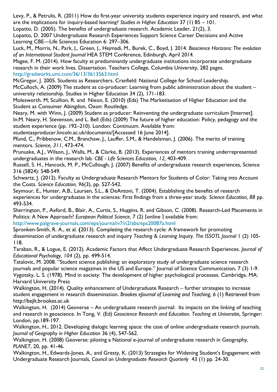Levy, P., & Petrulis, R. (2011) How do first-year university students experience inquiry and research, and what are the implications for inquiry-based learning? *Studies in Higher Education* 37 (1) 85 – 101.

Lopatto, D. (2005). The benefits of undergraduate research. Academic Leader, 21(2), 3.

Lopatto, D. 2007 Undergraduate Research Experiences Support Science Career Decisions and Active Learning CBE—Life Sciences Education 6: 297–306.

Luck, M., Morris, N., Park, J., Green, J., Hejmadi, M., Burek, C., Boyd, J. 2014. *Bioscience Horizons: The evolution of an International Student Journal* HEA STEM Conference, Edinburgh, April 2014.

Magee, F. M. (2014). How faculty at predominantly undergraduate institutions incorporate undergraduate research in their work lives. Dissertation. Teachers College, Columbia University, 282 pages. <http://gradworks.umi.com/36/13/3613563.html>

McGregor, J. 2005. Students as Researchers. Cranfield: National College for School Leadership. McCulloch, A. (2009) The student as co-producer: Learning from public administration about the student – university relationship. Studies in Higher Education 34 (2), 171-183.

Molesworth. M, Scullion, R. and Nixon, E. (2010) (Eds) The Marketisation of Higher Education and the Student as Consumer Abingdon, Oxon: Routledge.

Neary, M. with Winn, J. (2009) Student as producer: Reinventing the undergraduate curriculum [Internet]. In:M. Neary, H. Stevenson, and L. Bell (Eds) (2009) The future of higher education: Policy, pedagogy and the student experience (pp. 192–210). London: Continuum. Available from:

studentasproducer.lincoln.ac.uk/documents/[Accessed 16 June 2014].

Pfund, C., Pribbenow, C.M., Branchaw, J., Lauffer, S.M., & Handelsman, J. (2006). The merits of training mentors. *Science, 311*, 473-474.

Prunuske, A.J., Wilson, J., Walls, M., & Clarke, B. (2013). Experiences of mentors training underrepresented undergraduates in the research lab. *CBE - Life Sciences Education, 12,* 403-409.

Russell, S. H., Hancock, M. P., McCullough, J. (2007) Benefits of undergraduate research experiences, Science 316 (5824): 548-549.

Schwartz, J. (2012). Faculty as Undergraduate Research Mentors for Students of Color: Taking into Account the Costs. *Science Education, 96*(3), pp. 527-542.

Seymour, E., Hunter, A.B., Laursen, S.L., & DeAntoni, T. (2004). Establishing the benefits of research experiences for undergraduates in the sciences: First findings from a three-year study. *Science Education, 88* pp. 493-534.

Sherrington, P., Axford, B., Blair, A., Curtis, S., Huggins, R. and Gibson, C. (2008). Research-Led Placements in Politics: A New Approach? *European Political Science*, 7 (2) [online ] available from:

<http://www.palgrave-journals.com/eps/journal/v7/n2/abs/eps20087a.html>

Spronken-Smith, R. A., et al. **(**2013). Completing the research cycle: A framework for promoting dissemination of undergraduate research and inquiry *Teaching & Learning Inquiry. The ISSOTL Journal* 1 (2) 105- 118.

Taraban, R., & Logue, E. (2012). Academic Factors that Affect Undergraduate Research Experiences. *Journal of Educational Psychology, 104* (2), pp. 499-514.

Tatalovic, M. 2008. "Student science publishing: an exploratory study of undergraduate science research journals and popular science magazines in the US and Europe." Journal of Science Communication, 7 (3) 1-9. Vygotsky, L. S. (1978). Mind in society: The development of higher psychological processes. Cambridge, MA: Harvard University Press

Walkington, H. (2014). Quality enhancement of Undergraduate Research – further strategies to increase student engagement in research dissemination. *Brookes eJournal of Learning and Teaching, 6* (1) Retrieved from http://bejlt.brookes.ac.uk

Walkington, H. (2014) Geoverse – An undergraduate research journal: Its impacts on the linking of teaching and research in geoscience. In Tong, V. (Ed) *Geoscience Research and Education. Teaching at Universitie,* Springer: London, pp.189-197.

Walkington, H., 2012. Developing dialogic learning space: the case of online undergraduate research journals. *Journal of Geography in Higher Education* 36 (4), 547-562.

Walkington, H. (2008) Geoverse: piloting a National e-journal of undergraduate research in Geography, *PLANET*, 20, pp. 41-46.

Walkington, H., Edwards-Jones, A., and Gresty, K. (2013) Strategies for Widening Student's Engagement with Undergraduate Research Journals, *Council on Undergraduate Research Quarterly* 43 (1) pp. 24-30.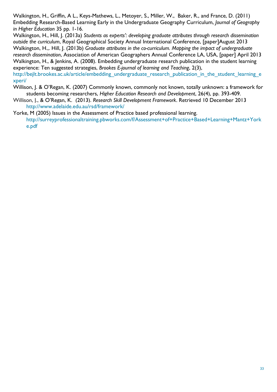Walkington, H., Griffin, A L., Keys-Mathews, L., Metoyer, S., Miller, W., Baker, R., and France, D. (2011) Embedding Research-Based Learning Early in the Undergraduate Geography Curriculum, *Journal of Geography in Higher Education* 35 pp. 1-16.

Walkington, H., Hill, J. (2013a) *Students as experts': developing graduate attributes through research dissemination outside the curriculum*, Royal Geographical Society Annual International Conference, [paper]August 2013 Walkington, H.,. Hill, J. (2013b) *Graduate attributes in the co-curriculum. Mapping the impact of undergraduate research dissemination*, Association of American Geographers Annual Conference LA, USA, [paper] April 2013 Walkington, H., & Jenkins, A. (2008). Embedding undergraduate research publication in the student learning experience: Ten suggested strategies, *Brookes E-journal of learning and Teaching*, 2(3),

[http://bejlt.brookes.ac.uk/article/embedding\\_undergraduate\\_research\\_publication\\_in\\_the\\_student\\_learning\\_e](http://bejlt.brookes.ac.uk/article/embedding_undergraduate_research_publication_in_the_student_learning_experi/) [xperi/](http://bejlt.brookes.ac.uk/article/embedding_undergraduate_research_publication_in_the_student_learning_experi/)

Willison, J. & O'Regan, K. (2007) Commonly known, commonly not known, totally unknown: a framework for students becoming researchers, *Higher Education Research and Development*, 26(4), pp. 393-409.

Willison, J., & O'Regan, K. (2013). *Research Skill Development Framework*. Retrieved 10 December 2013 <http://www.adelaide.edu.au/rsd/framework/>

Yorke, M (2005) Issues in the Assessment of Practice based professional learning. [http://surreyprofessionaltraining.pbworks.com/f/Assessment+of+Practice+Based+Learning+Mantz+York](http://surreyprofessionaltraining.pbworks.com/f/Assessment+of+Practice+Based+Learning+Mantz+Yorke.pdf) [e.pdf](http://surreyprofessionaltraining.pbworks.com/f/Assessment+of+Practice+Based+Learning+Mantz+Yorke.pdf)